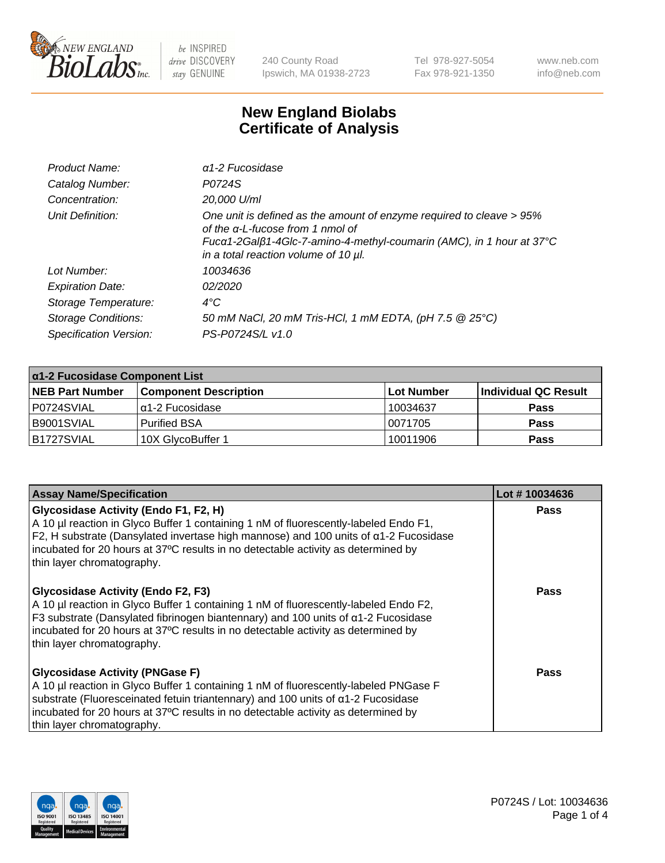

240 County Road Ipswich, MA 01938-2723 Tel 978-927-5054 Fax 978-921-1350 www.neb.com info@neb.com

## **New England Biolabs Certificate of Analysis**

| Product Name:              | $\alpha$ 1-2 Fucosidase                                                                                                                                                                                                          |
|----------------------------|----------------------------------------------------------------------------------------------------------------------------------------------------------------------------------------------------------------------------------|
| Catalog Number:            | P0724S                                                                                                                                                                                                                           |
| Concentration:             | 20,000 U/ml                                                                                                                                                                                                                      |
| Unit Definition:           | One unit is defined as the amount of enzyme required to cleave > 95%<br>of the $\alpha$ -L-fucose from 1 nmol of<br>Fucα1-2Galβ1-4Glc-7-amino-4-methyl-coumarin (AMC), in 1 hour at 37°C<br>in a total reaction volume of 10 µl. |
| Lot Number:                | 10034636                                                                                                                                                                                                                         |
| <b>Expiration Date:</b>    | 02/2020                                                                                                                                                                                                                          |
| Storage Temperature:       | $4^{\circ}$ C                                                                                                                                                                                                                    |
| <b>Storage Conditions:</b> | 50 mM NaCl, 20 mM Tris-HCl, 1 mM EDTA, (pH 7.5 @ 25°C)                                                                                                                                                                           |
| Specification Version:     | PS-P0724S/L v1.0                                                                                                                                                                                                                 |

| $\alpha$ 1-2 Fucosidase Component List |                              |                   |                      |  |
|----------------------------------------|------------------------------|-------------------|----------------------|--|
| <b>NEB Part Number</b>                 | <b>Component Description</b> | <b>Lot Number</b> | Individual QC Result |  |
| P0724SVIAL                             | $\alpha$ 1-2 Fucosidase      | 10034637          | <b>Pass</b>          |  |
| B9001SVIAL                             | l Purified BSA               | 10071705          | <b>Pass</b>          |  |
| B1727SVIAL                             | 10X GlycoBuffer 1            | 10011906          | <b>Pass</b>          |  |

| <b>Assay Name/Specification</b>                                                                                                                                                                                                                                                                                                               | Lot #10034636 |
|-----------------------------------------------------------------------------------------------------------------------------------------------------------------------------------------------------------------------------------------------------------------------------------------------------------------------------------------------|---------------|
| Glycosidase Activity (Endo F1, F2, H)<br>A 10 µl reaction in Glyco Buffer 1 containing 1 nM of fluorescently-labeled Endo F1,<br>F2, H substrate (Dansylated invertase high mannose) and 100 units of a1-2 Fucosidase<br>incubated for 20 hours at 37°C results in no detectable activity as determined by<br>thin layer chromatography.      | <b>Pass</b>   |
| <b>Glycosidase Activity (Endo F2, F3)</b><br>A 10 µl reaction in Glyco Buffer 1 containing 1 nM of fluorescently-labeled Endo F2,<br>F3 substrate (Dansylated fibrinogen biantennary) and 100 units of a1-2 Fucosidase<br>incubated for 20 hours at 37°C results in no detectable activity as determined by<br>thin layer chromatography.     | Pass          |
| <b>Glycosidase Activity (PNGase F)</b><br>A 10 µl reaction in Glyco Buffer 1 containing 1 nM of fluorescently-labeled PNGase F<br>substrate (Fluoresceinated fetuin triantennary) and 100 units of $\alpha$ 1-2 Fucosidase<br>incubated for 20 hours at 37°C results in no detectable activity as determined by<br>thin layer chromatography. | Pass          |

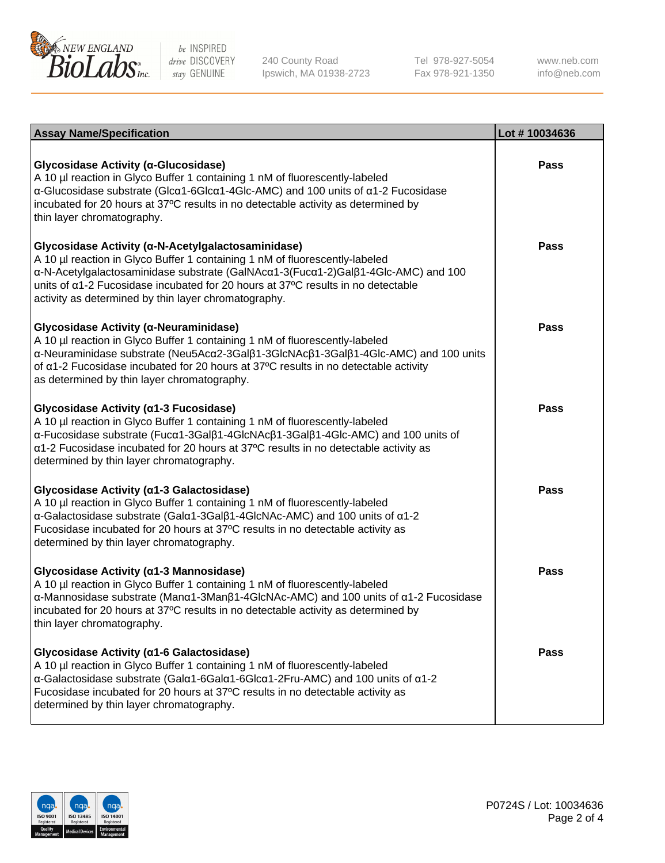

240 County Road Ipswich, MA 01938-2723 Tel 978-927-5054 Fax 978-921-1350

www.neb.com info@neb.com

| <b>Assay Name/Specification</b>                                                                                                                                                                                                                                                                                                                                    | Lot #10034636 |
|--------------------------------------------------------------------------------------------------------------------------------------------------------------------------------------------------------------------------------------------------------------------------------------------------------------------------------------------------------------------|---------------|
| Glycosidase Activity (α-Glucosidase)<br>A 10 µl reaction in Glyco Buffer 1 containing 1 nM of fluorescently-labeled<br>α-Glucosidase substrate (Glcα1-6Glcα1-4Glc-AMC) and 100 units of α1-2 Fucosidase<br>incubated for 20 hours at 37°C results in no detectable activity as determined by<br>thin layer chromatography.                                         | <b>Pass</b>   |
| Glycosidase Activity (α-N-Acetylgalactosaminidase)<br>A 10 µl reaction in Glyco Buffer 1 containing 1 nM of fluorescently-labeled<br>α-N-Acetylgalactosaminidase substrate (GalNAcα1-3(Fucα1-2)Galβ1-4Glc-AMC) and 100<br>units of a1-2 Fucosidase incubated for 20 hours at 37°C results in no detectable<br>activity as determined by thin layer chromatography. | Pass          |
| Glycosidase Activity (α-Neuraminidase)<br>A 10 µl reaction in Glyco Buffer 1 containing 1 nM of fluorescently-labeled<br>α-Neuraminidase substrate (Neu5Acα2-3Galβ1-3GlcNAcβ1-3Galβ1-4Glc-AMC) and 100 units<br>of a1-2 Fucosidase incubated for 20 hours at 37°C results in no detectable activity<br>as determined by thin layer chromatography.                 | <b>Pass</b>   |
| Glycosidase Activity (α1-3 Fucosidase)<br>A 10 µl reaction in Glyco Buffer 1 containing 1 nM of fluorescently-labeled<br>α-Fucosidase substrate (Fucα1-3Galβ1-4GlcNAcβ1-3Galβ1-4Glc-AMC) and 100 units of<br>a1-2 Fucosidase incubated for 20 hours at 37°C results in no detectable activity as<br>determined by thin layer chromatography.                       | <b>Pass</b>   |
| Glycosidase Activity (α1-3 Galactosidase)<br>A 10 µl reaction in Glyco Buffer 1 containing 1 nM of fluorescently-labeled<br>α-Galactosidase substrate (Galα1-3Galβ1-4GlcNAc-AMC) and 100 units of α1-2<br>Fucosidase incubated for 20 hours at 37°C results in no detectable activity as<br>determined by thin layer chromatography.                               | <b>Pass</b>   |
| Glycosidase Activity (a1-3 Mannosidase)<br>A 10 µl reaction in Glyco Buffer 1 containing 1 nM of fluorescently-labeled<br>α-Mannosidase substrate (Manα1-3Manβ1-4GlcNAc-AMC) and 100 units of α1-2 Fucosidase<br>incubated for 20 hours at 37°C results in no detectable activity as determined by<br>thin layer chromatography.                                   | <b>Pass</b>   |
| Glycosidase Activity (α1-6 Galactosidase)<br>A 10 µl reaction in Glyco Buffer 1 containing 1 nM of fluorescently-labeled<br>α-Galactosidase substrate (Galα1-6Galα1-6Glcα1-2Fru-AMC) and 100 units of α1-2<br>Fucosidase incubated for 20 hours at 37°C results in no detectable activity as<br>determined by thin layer chromatography.                           | Pass          |

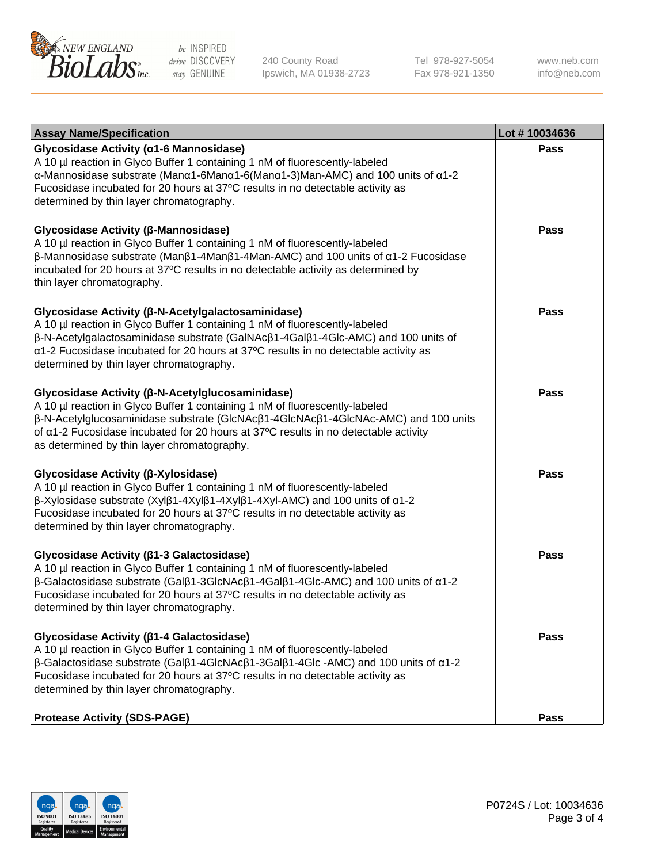

240 County Road Ipswich, MA 01938-2723 Tel 978-927-5054 Fax 978-921-1350 www.neb.com info@neb.com

| <b>Assay Name/Specification</b>                                                                                                                                                                                                                                                                                                                                                             | Lot #10034636 |
|---------------------------------------------------------------------------------------------------------------------------------------------------------------------------------------------------------------------------------------------------------------------------------------------------------------------------------------------------------------------------------------------|---------------|
| Glycosidase Activity (α1-6 Mannosidase)<br>A 10 µl reaction in Glyco Buffer 1 containing 1 nM of fluorescently-labeled<br>α-Mannosidase substrate (Manα1-6Manα1-6(Manα1-3)Man-AMC) and 100 units of α1-2<br>Fucosidase incubated for 20 hours at 37°C results in no detectable activity as<br>determined by thin layer chromatography.                                                      | <b>Pass</b>   |
| Glycosidase Activity (β-Mannosidase)<br>A 10 µl reaction in Glyco Buffer 1 containing 1 nM of fluorescently-labeled<br>$\beta$ -Mannosidase substrate (Man $\beta$ 1-4Man $\beta$ 1-4Man-AMC) and 100 units of $\alpha$ 1-2 Fucosidase<br>incubated for 20 hours at 37°C results in no detectable activity as determined by<br>thin layer chromatography.                                   | Pass          |
| Glycosidase Activity (β-N-Acetylgalactosaminidase)<br>A 10 µl reaction in Glyco Buffer 1 containing 1 nM of fluorescently-labeled<br>β-N-Acetylgalactosaminidase substrate (GalNAcβ1-4Galβ1-4Glc-AMC) and 100 units of<br>a1-2 Fucosidase incubated for 20 hours at 37°C results in no detectable activity as<br>determined by thin layer chromatography.                                   | <b>Pass</b>   |
| Glycosidase Activity (β-N-Acetylglucosaminidase)<br>A 10 µl reaction in Glyco Buffer 1 containing 1 nM of fluorescently-labeled<br>β-N-Acetylglucosaminidase substrate (GlcNAcβ1-4GlcNAcβ1-4GlcNAc-AMC) and 100 units<br>of a1-2 Fucosidase incubated for 20 hours at 37°C results in no detectable activity<br>as determined by thin layer chromatography.                                 | <b>Pass</b>   |
| Glycosidase Activity (β-Xylosidase)<br>A 10 µl reaction in Glyco Buffer 1 containing 1 nM of fluorescently-labeled<br>β-Xylosidase substrate (Xylβ1-4Xylβ1-4Xylβ1-4Xyl-AMC) and 100 units of α1-2<br>Fucosidase incubated for 20 hours at 37°C results in no detectable activity as<br>determined by thin layer chromatography.                                                             | <b>Pass</b>   |
| Glycosidase Activity (β1-3 Galactosidase)<br>A 10 µl reaction in Glyco Buffer 1 containing 1 nM of fluorescently-labeled<br>β-Galactosidase substrate (Galβ1-3GlcNAcβ1-4Galβ1-4Glc-AMC) and 100 units of α1-2<br>Fucosidase incubated for 20 hours at 37°C results in no detectable activity as<br>determined by thin layer chromatography.                                                 | <b>Pass</b>   |
| Glycosidase Activity ( $\beta$ 1-4 Galactosidase)<br>A 10 µl reaction in Glyco Buffer 1 containing 1 nM of fluorescently-labeled<br>$\beta$ -Galactosidase substrate (Gal $\beta$ 1-4GlcNAc $\beta$ 1-3Gal $\beta$ 1-4Glc -AMC) and 100 units of $\alpha$ 1-2<br>Fucosidase incubated for 20 hours at 37°C results in no detectable activity as<br>determined by thin layer chromatography. | Pass          |
| <b>Protease Activity (SDS-PAGE)</b>                                                                                                                                                                                                                                                                                                                                                         | Pass          |